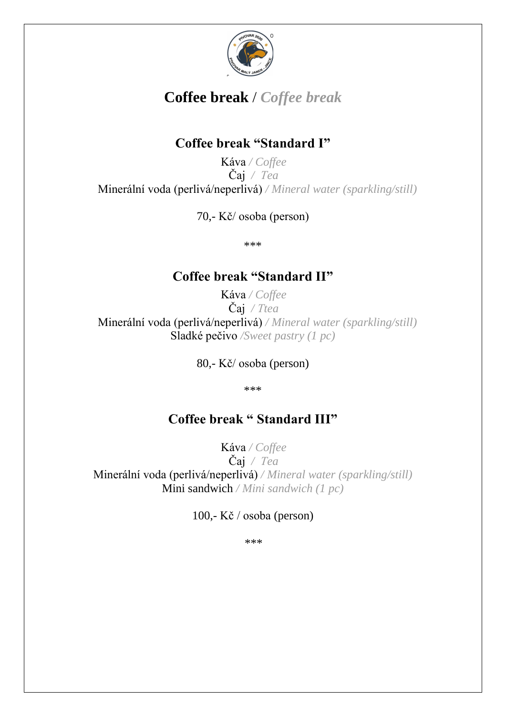

# **Coffee break** / *Coffee break*

# **Coffee break "Standard I"**

Káva */ Coffee*  Čaj */ Tea*  Minerální voda (perlivá/neperlivá) */ Mineral water (sparkling/still)* 

70,- Kč/ osoba (person)

\*\*\*

# **Coffee break "Standard II"**

Káva */ Coffee*  Čaj */ Ttea*  Minerální voda (perlivá/neperlivá) */ Mineral water (sparkling/still)*  Sladké pečivo */Sweet pastry (1 pc)* 

80,- Kč/ osoba (person)

\*\*\*

# **Coffee break " Standard III"**

Káva */ Coffee*  Čaj */ Tea*  Minerální voda (perlivá/neperlivá) */ Mineral water (sparkling/still)*  Mini sandwich */ Mini sandwich (1 pc)* 

100,- Kč / osoba (person)

\*\*\*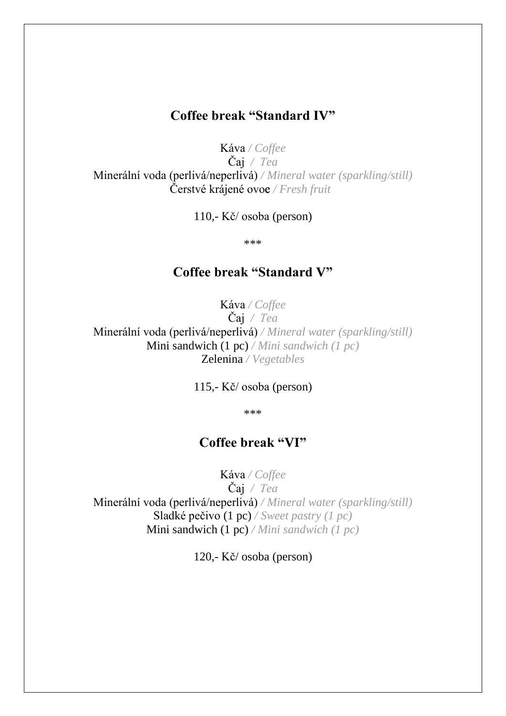#### **Coffee break "Standard IV"**

Káva */ Coffee*  Čaj */ Tea*  Minerální voda (perlivá/neperlivá) */ Mineral water (sparkling/still)*  Čerstvé krájené ovoce */ Fresh fruit* 

110,- Kč/ osoba (person)

\*\*\*

### **Coffee break "Standard V"**

Káva */ Coffee*  Čaj */ Tea*  Minerální voda (perlivá/neperlivá) */ Mineral water (sparkling/still)*  Mini sandwich (1 pc) */ Mini sandwich (1 pc)*  Zelenina */ Vegetables* 

115,- Kč/ osoba (person)

\*\*\*

#### **Coffee break "VI"**

Káva */ Coffee*  Čaj */ Tea*  Minerální voda (perlivá/neperlivá) */ Mineral water (sparkling/still)*  Sladké pečivo (1 pc) */ Sweet pastry (1 pc)*  Mini sandwich (1 pc) */ Mini sandwich (1 pc)* 

120,- Kč/ osoba (person)